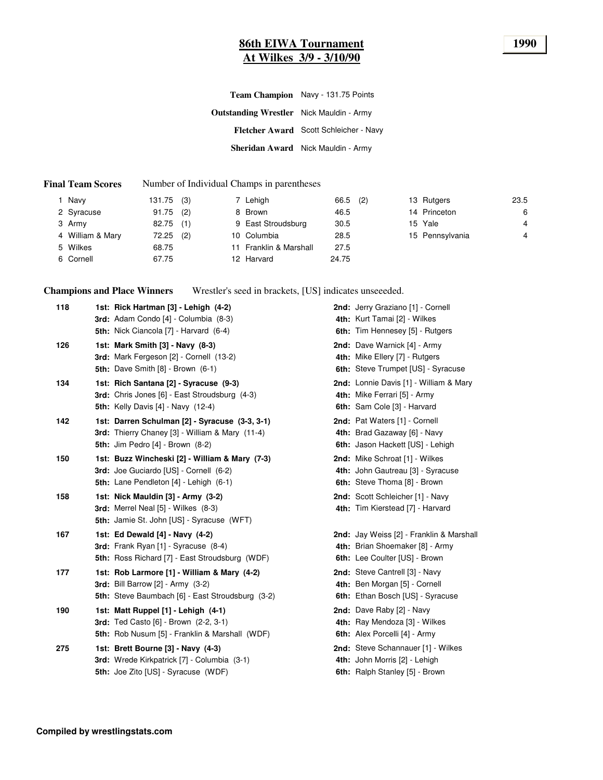#### **86th EIWA Tournament 1990 At Wilkes 3/9 - 3/10/90**

| Team Champion Navy - 131.75 Points              |
|-------------------------------------------------|
| <b>Outstanding Wrestler</b> Nick Mauldin - Army |
| Fletcher Award Scott Schleicher - Navy          |
| Sheridan Award Nick Mauldin - Army              |
|                                                 |

#### **Final Team Scores** Number of Individual Champs in parentheses

| Navy             | $131.75$ (3) | 7 Lehigh               | 66.5  | (2) | 13 Rutgers      | 23.5 |
|------------------|--------------|------------------------|-------|-----|-----------------|------|
| 2 Syracuse       | 91.75<br>(2) | 8 Brown                | 46.5  |     | 14 Princeton    | 6    |
| 3 Army           | 82.75<br>(1) | 9 East Stroudsburg     | 30.5  |     | 15 Yale         | 4    |
| 4 William & Mary | 72.25<br>(2) | 10 Columbia            | 28.5  |     | 15 Pennsylvania | 4    |
| 5 Wilkes         | 68.75        | 11 Franklin & Marshall | 27.5  |     |                 |      |
| 6 Cornell        | 67.75        | 12 Harvard             | 24.75 |     |                 |      |

**Champions and Place Winners** Wrestler's seed in brackets, [US] indicates unseeeded.

| 118 | 1st: Rick Hartman [3] - Lehigh (4-2)<br>3rd: Adam Condo [4] - Columbia (8-3)<br>5th: Nick Ciancola [7] - Harvard (6-4)                           | 2nd: Jerry Graziano [1] - Cornell<br>4th: Kurt Tamai [2] - Wilkes<br>6th: Tim Hennesey [5] - Rutgers         |
|-----|--------------------------------------------------------------------------------------------------------------------------------------------------|--------------------------------------------------------------------------------------------------------------|
| 126 | 1st: Mark Smith [3] - Navy (8-3)<br>3rd: Mark Fergeson [2] - Cornell (13-2)<br>5th: Dave Smith $[8]$ - Brown $(6-1)$                             | 2nd: Dave Warnick [4] - Army<br>4th: Mike Ellery [7] - Rutgers<br>6th: Steve Trumpet [US] - Syracuse         |
| 134 | 1st: Rich Santana [2] - Syracuse (9-3)<br>3rd: Chris Jones [6] - East Stroudsburg (4-3)<br><b>5th:</b> Kelly Davis [4] - Navy (12-4)             | 2nd: Lonnie Davis [1] - William & Mary<br>4th: Mike Ferrari [5] - Army<br>6th: Sam Cole [3] - Harvard        |
| 142 | 1st: Darren Schulman [2] - Syracuse (3-3, 3-1)<br>3rd: Thierry Chaney [3] - William & Mary (11-4)<br><b>5th:</b> Jim Pedro $[4]$ - Brown $(8-2)$ | 2nd: Pat Waters [1] - Cornell<br>4th: Brad Gazaway [6] - Navy<br>6th: Jason Hackett [US] - Lehigh            |
| 150 | 1st: Buzz Wincheski [2] - William & Mary (7-3)<br>3rd: Joe Guciardo [US] - Cornell (6-2)<br>5th: Lane Pendleton [4] - Lehigh (6-1)               | 2nd: Mike Schroat [1] - Wilkes<br>4th: John Gautreau [3] - Syracuse<br>6th: Steve Thoma [8] - Brown          |
| 158 | 1st: Nick Mauldin [3] - Army (3-2)<br>3rd: Merrel Neal [5] - Wilkes (8-3)<br><b>5th:</b> Jamie St. John [US] - Syracuse (WFT)                    | 2nd: Scott Schleicher [1] - Navy<br>4th: Tim Kierstead [7] - Harvard                                         |
| 167 | 1st: Ed Dewald [4] - Navy (4-2)<br>3rd: Frank Ryan [1] - Syracuse (8-4)<br><b>5th:</b> Ross Richard [7] - East Stroudsburg (WDF)                 | 2nd: Jay Weiss [2] - Franklin & Marshall<br>4th: Brian Shoemaker [8] - Army<br>6th: Lee Coulter [US] - Brown |
| 177 | 1st: Rob Larmore [1] - William & Mary (4-2)<br><b>3rd:</b> Bill Barrow [2] - Army (3-2)<br>5th: Steve Baumbach [6] - East Stroudsburg (3-2)      | 2nd: Steve Cantrell [3] - Navy<br>4th: Ben Morgan [5] - Cornell<br>6th: Ethan Bosch [US] - Syracuse          |
| 190 | 1st: Matt Ruppel [1] - Lehigh (4-1)<br><b>3rd:</b> Ted Casto [6] - Brown (2-2, 3-1)<br><b>5th:</b> Rob Nusum [5] - Franklin & Marshall (WDF)     | 2nd: Dave Raby [2] - Navy<br>4th: Ray Mendoza [3] - Wilkes<br>6th: Alex Porcelli [4] - Army                  |
| 275 | 1st: Brett Bourne [3] - Navy (4-3)<br>3rd: Wrede Kirkpatrick [7] - Columbia (3-1)<br>5th: Joe Zito [US] - Syracuse (WDF)                         | 2nd: Steve Schannauer [1] - Wilkes<br>4th: John Morris [2] - Lehigh<br>6th: Ralph Stanley [5] - Brown        |
|     |                                                                                                                                                  |                                                                                                              |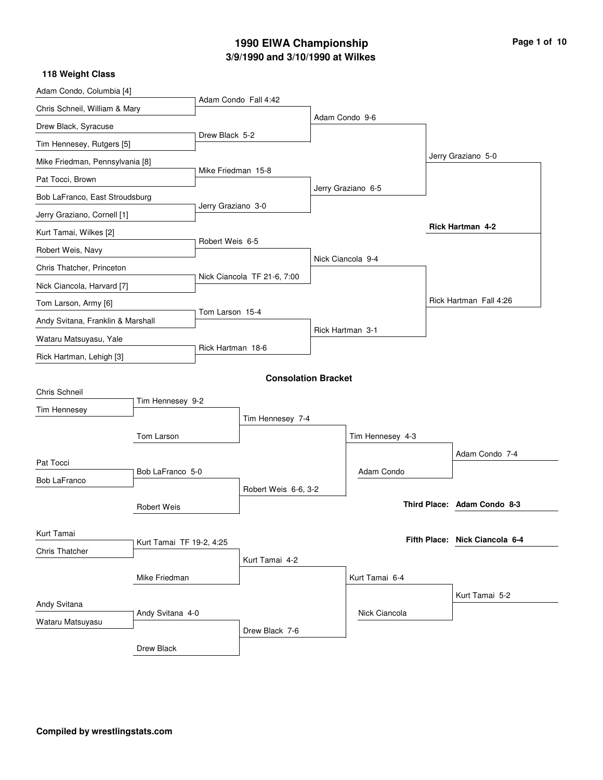# **3/9/1990 and 3/10/1990 at Wilkes 1990 EIWA Championship Page 1 of 10**

| 118 Weight Class                  |                          |                    |                             |                    |                                |
|-----------------------------------|--------------------------|--------------------|-----------------------------|--------------------|--------------------------------|
| Adam Condo, Columbia [4]          |                          |                    | Adam Condo Fall 4:42        |                    |                                |
| Chris Schneil, William & Mary     |                          |                    |                             |                    |                                |
| Drew Black, Syracuse              |                          |                    |                             | Adam Condo 9-6     |                                |
| Tim Hennesey, Rutgers [5]         |                          | Drew Black 5-2     |                             |                    |                                |
| Mike Friedman, Pennsylvania [8]   |                          |                    |                             |                    | Jerry Graziano 5-0             |
| Pat Tocci, Brown                  |                          | Mike Friedman 15-8 |                             |                    |                                |
| Bob LaFranco, East Stroudsburg    |                          |                    |                             | Jerry Graziano 6-5 |                                |
| Jerry Graziano, Cornell [1]       |                          | Jerry Graziano 3-0 |                             |                    |                                |
| Kurt Tamai, Wilkes [2]            |                          |                    |                             |                    | <b>Rick Hartman 4-2</b>        |
| Robert Weis, Navy                 |                          | Robert Weis 6-5    |                             |                    |                                |
| Chris Thatcher, Princeton         |                          |                    |                             | Nick Ciancola 9-4  |                                |
| Nick Ciancola, Harvard [7]        |                          |                    | Nick Ciancola TF 21-6, 7:00 |                    |                                |
| Tom Larson, Army [6]              |                          |                    |                             |                    | Rick Hartman Fall 4:26         |
| Andy Svitana, Franklin & Marshall |                          | Tom Larson 15-4    |                             |                    |                                |
| Wataru Matsuyasu, Yale            |                          |                    |                             | Rick Hartman 3-1   |                                |
| Rick Hartman, Lehigh [3]          |                          | Rick Hartman 18-6  |                             |                    |                                |
|                                   |                          |                    | <b>Consolation Bracket</b>  |                    |                                |
| Chris Schneil                     |                          |                    |                             |                    |                                |
| Tim Hennesey                      | Tim Hennesey 9-2         |                    |                             |                    |                                |
|                                   |                          |                    | Tim Hennesey 7-4            |                    |                                |
|                                   | Tom Larson               |                    |                             | Tim Hennesey 4-3   |                                |
| Pat Tocci                         |                          |                    |                             |                    | Adam Condo 7-4                 |
| Bob LaFranco                      | Bob LaFranco 5-0         |                    |                             | Adam Condo         |                                |
|                                   |                          |                    | Robert Weis 6-6, 3-2        |                    |                                |
|                                   | <b>Robert Weis</b>       |                    |                             |                    | Third Place: Adam Condo 8-3    |
| Kurt Tamai                        |                          |                    |                             |                    |                                |
| <b>Chris Thatcher</b>             | Kurt Tamai TF 19-2, 4:25 |                    |                             |                    | Fifth Place: Nick Ciancola 6-4 |
|                                   |                          |                    | Kurt Tamai 4-2              |                    |                                |
|                                   | Mike Friedman            |                    |                             | Kurt Tamai 6-4     |                                |
| Andy Svitana                      |                          |                    |                             |                    | Kurt Tamai 5-2                 |
| Wataru Matsuyasu                  | Andy Svitana 4-0         |                    |                             | Nick Ciancola      |                                |
|                                   |                          |                    | Drew Black 7-6              |                    |                                |
|                                   | Drew Black               |                    |                             |                    |                                |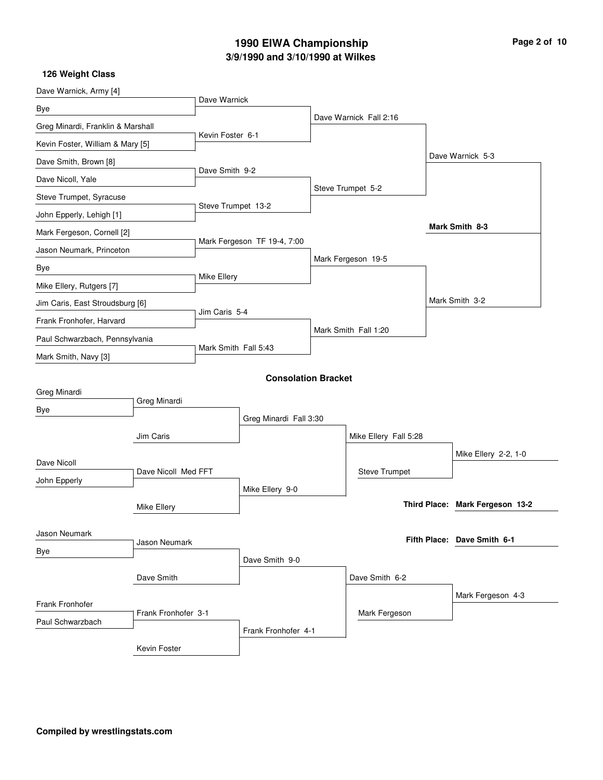# **3/9/1990 and 3/10/1990 at Wilkes 1990 EIWA Championship Page 2 of 10**

| Dave Warnick, Army [4]            |                     |                      |                             |  |                        |  |                                 |
|-----------------------------------|---------------------|----------------------|-----------------------------|--|------------------------|--|---------------------------------|
| Bye                               |                     | Dave Warnick         |                             |  |                        |  |                                 |
| Greg Minardi, Franklin & Marshall |                     |                      |                             |  | Dave Warnick Fall 2:16 |  |                                 |
| Kevin Foster, William & Mary [5]  |                     | Kevin Foster 6-1     |                             |  |                        |  |                                 |
| Dave Smith, Brown [8]             |                     |                      |                             |  |                        |  | Dave Warnick 5-3                |
| Dave Nicoll, Yale                 |                     | Dave Smith 9-2       |                             |  |                        |  |                                 |
| Steve Trumpet, Syracuse           |                     |                      |                             |  | Steve Trumpet 5-2      |  |                                 |
| John Epperly, Lehigh [1]          |                     | Steve Trumpet 13-2   |                             |  |                        |  |                                 |
| Mark Fergeson, Cornell [2]        |                     |                      |                             |  |                        |  | Mark Smith 8-3                  |
| Jason Neumark, Princeton          |                     |                      | Mark Fergeson TF 19-4, 7:00 |  |                        |  |                                 |
| Bye                               |                     |                      |                             |  | Mark Fergeson 19-5     |  |                                 |
| Mike Ellery, Rutgers [7]          |                     | Mike Ellery          |                             |  |                        |  |                                 |
| Jim Caris, East Stroudsburg [6]   |                     |                      |                             |  |                        |  | Mark Smith 3-2                  |
| Frank Fronhofer, Harvard          |                     |                      | Jim Caris 5-4               |  |                        |  |                                 |
| Paul Schwarzbach, Pennsylvania    |                     |                      |                             |  | Mark Smith Fall 1:20   |  |                                 |
| Mark Smith, Navy [3]              |                     | Mark Smith Fall 5:43 |                             |  |                        |  |                                 |
|                                   |                     |                      | <b>Consolation Bracket</b>  |  |                        |  |                                 |
| Greg Minardi                      |                     |                      |                             |  |                        |  |                                 |
| Bye                               | Greg Minardi        |                      |                             |  |                        |  |                                 |
|                                   |                     |                      | Greg Minardi Fall 3:30      |  |                        |  |                                 |
|                                   | Jim Caris           |                      |                             |  | Mike Ellery Fall 5:28  |  |                                 |
| Dave Nicoll                       |                     |                      |                             |  |                        |  | Mike Ellery 2-2, 1-0            |
| John Epperly                      | Dave Nicoll Med FFT |                      |                             |  | <b>Steve Trumpet</b>   |  |                                 |
|                                   |                     |                      | Mike Ellery 9-0             |  |                        |  | Third Place: Mark Fergeson 13-2 |
|                                   | Mike Ellery         |                      |                             |  |                        |  |                                 |
| Jason Neumark                     |                     |                      |                             |  |                        |  | Fifth Place: Dave Smith 6-1     |
| Bye                               | Jason Neumark       |                      |                             |  |                        |  |                                 |
|                                   |                     |                      | Dave Smith 9-0              |  |                        |  |                                 |
|                                   | Dave Smith          |                      |                             |  | Dave Smith 6-2         |  |                                 |
| Frank Fronhofer                   |                     |                      |                             |  |                        |  | Mark Fergeson 4-3               |
| Paul Schwarzbach                  | Frank Fronhofer 3-1 |                      |                             |  | Mark Fergeson          |  |                                 |
|                                   |                     |                      | Frank Fronhofer 4-1         |  |                        |  |                                 |
|                                   | Kevin Foster        |                      |                             |  |                        |  |                                 |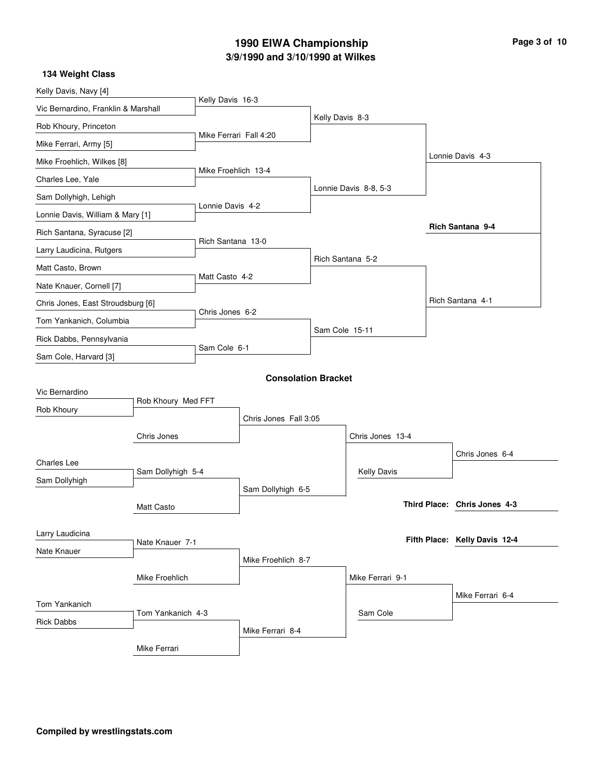# **3/9/1990 and 3/10/1990 at Wilkes 1990 EIWA Championship Page 3 of 10**

| Kelly Davis, Navy [4]               |                    |                        |                            |                 |                       |                               |
|-------------------------------------|--------------------|------------------------|----------------------------|-----------------|-----------------------|-------------------------------|
| Vic Bernardino, Franklin & Marshall |                    | Kelly Davis 16-3       |                            |                 |                       |                               |
| Rob Khoury, Princeton               |                    |                        |                            | Kelly Davis 8-3 |                       |                               |
| Mike Ferrari, Army [5]              |                    | Mike Ferrari Fall 4:20 |                            |                 |                       |                               |
| Mike Froehlich, Wilkes [8]          |                    |                        |                            |                 |                       | Lonnie Davis 4-3              |
| Charles Lee, Yale                   |                    | Mike Froehlich 13-4    |                            |                 |                       |                               |
| Sam Dollyhigh, Lehigh               |                    |                        |                            |                 | Lonnie Davis 8-8, 5-3 |                               |
| Lonnie Davis, William & Mary [1]    |                    | Lonnie Davis 4-2       |                            |                 |                       |                               |
| Rich Santana, Syracuse [2]          |                    |                        |                            |                 |                       | Rich Santana 9-4              |
| Larry Laudicina, Rutgers            |                    | Rich Santana 13-0      |                            |                 |                       |                               |
| Matt Casto, Brown                   |                    |                        |                            |                 | Rich Santana 5-2      |                               |
| Nate Knauer, Cornell [7]            |                    | Matt Casto 4-2         |                            |                 |                       |                               |
| Chris Jones, East Stroudsburg [6]   |                    |                        |                            |                 |                       | Rich Santana 4-1              |
| Tom Yankanich, Columbia             |                    | Chris Jones 6-2        |                            |                 |                       |                               |
| Rick Dabbs, Pennsylvania            |                    |                        |                            | Sam Cole 15-11  |                       |                               |
| Sam Cole, Harvard [3]               |                    | Sam Cole 6-1           |                            |                 |                       |                               |
|                                     |                    |                        | <b>Consolation Bracket</b> |                 |                       |                               |
| Vic Bernardino                      |                    |                        |                            |                 |                       |                               |
| Rob Khoury                          | Rob Khoury Med FFT |                        |                            |                 |                       |                               |
|                                     |                    |                        | Chris Jones Fall 3:05      |                 |                       |                               |
|                                     | Chris Jones        |                        |                            |                 | Chris Jones 13-4      |                               |
| <b>Charles Lee</b>                  |                    |                        |                            |                 |                       | Chris Jones 6-4               |
| Sam Dollyhigh                       | Sam Dollyhigh 5-4  |                        |                            |                 | <b>Kelly Davis</b>    |                               |
|                                     |                    |                        | Sam Dollyhigh 6-5          |                 |                       |                               |
|                                     | Matt Casto         |                        |                            |                 |                       | Third Place: Chris Jones 4-3  |
| Larry Laudicina                     |                    |                        |                            |                 |                       |                               |
| Nate Knauer                         | Nate Knauer 7-1    |                        |                            |                 |                       | Fifth Place: Kelly Davis 12-4 |
|                                     |                    |                        | Mike Froehlich 8-7         |                 |                       |                               |
|                                     | Mike Froehlich     |                        |                            |                 | Mike Ferrari 9-1      |                               |
| Tom Yankanich                       |                    |                        |                            |                 |                       | Mike Ferrari 6-4              |
| <b>Rick Dabbs</b>                   | Tom Yankanich 4-3  |                        |                            |                 | Sam Cole              |                               |
|                                     |                    |                        | Mike Ferrari 8-4           |                 |                       |                               |
|                                     | Mike Ferrari       |                        |                            |                 |                       |                               |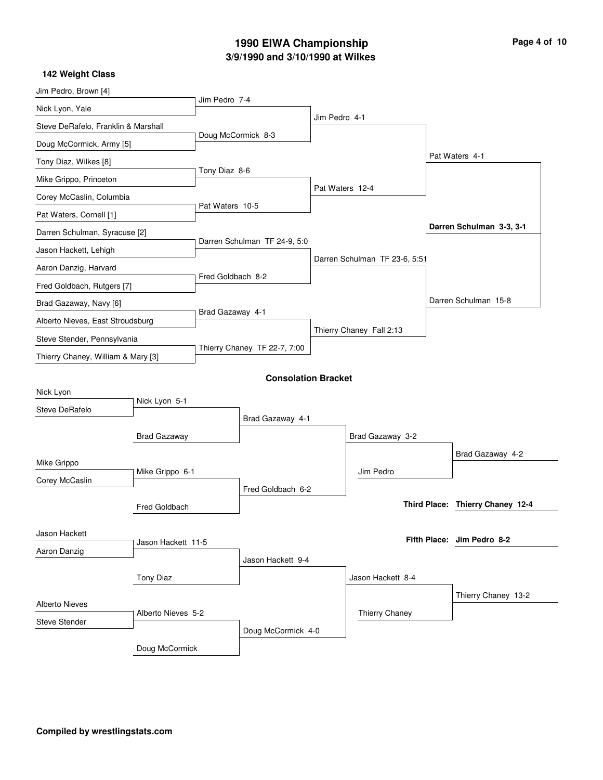# **3/9/1990 and 3/10/1990 at Wilkes 1990 EIWA Championship Page 4 of 10**

| Jim Pedro, Brown [4]                |                     |                    |                              |                 |                               |                                  |
|-------------------------------------|---------------------|--------------------|------------------------------|-----------------|-------------------------------|----------------------------------|
| Nick Lyon, Yale                     |                     | Jim Pedro 7-4      |                              |                 |                               |                                  |
| Steve DeRafelo, Franklin & Marshall |                     |                    |                              | Jim Pedro 4-1   |                               |                                  |
| Doug McCormick, Army [5]            |                     | Doug McCormick 8-3 |                              |                 |                               |                                  |
| Tony Diaz, Wilkes [8]               |                     |                    |                              |                 |                               | Pat Waters 4-1                   |
| Mike Grippo, Princeton              |                     | Tony Diaz 8-6      |                              |                 |                               |                                  |
| Corey McCaslin, Columbia            |                     |                    |                              | Pat Waters 12-4 |                               |                                  |
| Pat Waters, Cornell [1]             |                     | Pat Waters 10-5    |                              |                 |                               |                                  |
| Darren Schulman, Syracuse [2]       |                     |                    |                              |                 |                               | Darren Schulman 3-3, 3-1         |
| Jason Hackett, Lehigh               |                     |                    | Darren Schulman TF 24-9, 5:0 |                 |                               |                                  |
| Aaron Danzig, Harvard               |                     |                    |                              |                 | Darren Schulman TF 23-6, 5:51 |                                  |
| Fred Goldbach, Rutgers [7]          |                     | Fred Goldbach 8-2  |                              |                 |                               |                                  |
| Brad Gazaway, Navy [6]              |                     |                    |                              |                 |                               | Darren Schulman 15-8             |
| Alberto Nieves, East Stroudsburg    |                     | Brad Gazaway 4-1   |                              |                 |                               |                                  |
| Steve Stender, Pennsylvania         |                     |                    |                              |                 | Thierry Chaney Fall 2:13      |                                  |
| Thierry Chaney, William & Mary [3]  |                     |                    | Thierry Chaney TF 22-7, 7:00 |                 |                               |                                  |
|                                     |                     |                    | <b>Consolation Bracket</b>   |                 |                               |                                  |
| Nick Lyon                           |                     |                    |                              |                 |                               |                                  |
| Steve DeRafelo                      | Nick Lyon 5-1       |                    |                              |                 |                               |                                  |
|                                     |                     |                    | Brad Gazaway 4-1             |                 |                               |                                  |
|                                     | <b>Brad Gazaway</b> |                    |                              |                 | Brad Gazaway 3-2              |                                  |
| Mike Grippo                         |                     |                    |                              |                 |                               | Brad Gazaway 4-2                 |
| Corey McCaslin                      | Mike Grippo 6-1     |                    |                              |                 | Jim Pedro                     |                                  |
|                                     |                     |                    | Fred Goldbach 6-2            |                 |                               | Third Place: Thierry Chaney 12-4 |
|                                     | Fred Goldbach       |                    |                              |                 |                               |                                  |
| Jason Hackett                       |                     |                    |                              |                 |                               | Fifth Place: Jim Pedro 8-2       |
| Aaron Danzig                        | Jason Hackett 11-5  |                    |                              |                 |                               |                                  |
|                                     |                     |                    | Jason Hackett 9-4            |                 |                               |                                  |
|                                     | <b>Tony Diaz</b>    |                    |                              |                 | Jason Hackett 8-4             |                                  |
| <b>Alberto Nieves</b>               |                     |                    |                              |                 |                               | Thierry Chaney 13-2              |
| <b>Steve Stender</b>                | Alberto Nieves 5-2  |                    |                              |                 | Thierry Chaney                |                                  |
|                                     |                     |                    | Doug McCormick 4-0           |                 |                               |                                  |
|                                     | Doug McCormick      |                    |                              |                 |                               |                                  |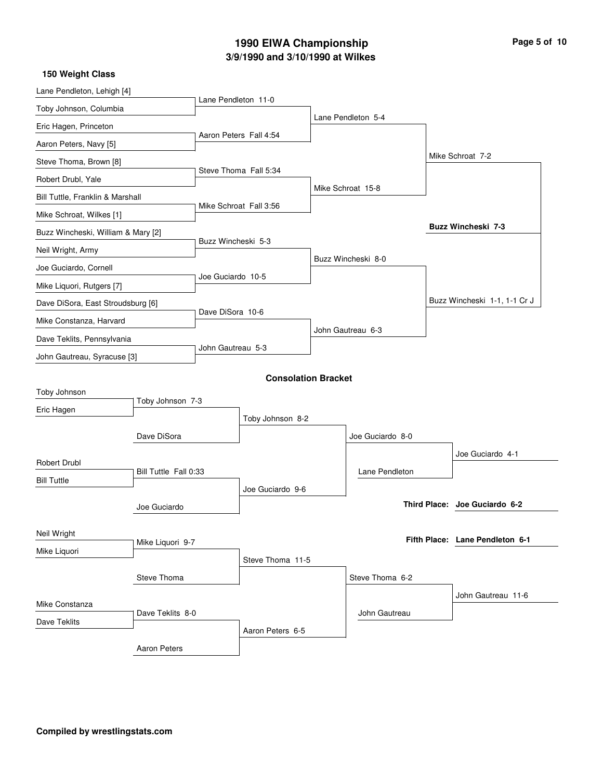# **3/9/1990 and 3/10/1990 at Wilkes 1990 EIWA Championship Page 5 of 10**

| 150 Weight Class                   |                       |                     |                            |                    |                                 |
|------------------------------------|-----------------------|---------------------|----------------------------|--------------------|---------------------------------|
| Lane Pendleton, Lehigh [4]         |                       | Lane Pendleton 11-0 |                            |                    |                                 |
| Toby Johnson, Columbia             |                       |                     |                            |                    |                                 |
| Eric Hagen, Princeton              |                       |                     |                            | Lane Pendleton 5-4 |                                 |
| Aaron Peters, Navy [5]             |                       |                     | Aaron Peters Fall 4:54     |                    |                                 |
| Steve Thoma, Brown [8]             |                       |                     |                            |                    | Mike Schroat 7-2                |
| Robert Drubl, Yale                 |                       |                     | Steve Thoma Fall 5:34      |                    |                                 |
| Bill Tuttle, Franklin & Marshall   |                       |                     |                            | Mike Schroat 15-8  |                                 |
| Mike Schroat, Wilkes [1]           |                       |                     | Mike Schroat Fall 3:56     |                    |                                 |
| Buzz Wincheski, William & Mary [2] |                       |                     |                            |                    | Buzz Wincheski 7-3              |
| Neil Wright, Army                  |                       | Buzz Wincheski 5-3  |                            |                    |                                 |
| Joe Guciardo, Cornell              |                       |                     |                            | Buzz Wincheski 8-0 |                                 |
| Mike Liquori, Rutgers [7]          |                       | Joe Guciardo 10-5   |                            |                    |                                 |
| Dave DiSora, East Stroudsburg [6]  |                       |                     |                            |                    | Buzz Wincheski 1-1, 1-1 Cr J    |
| Mike Constanza, Harvard            |                       | Dave DiSora 10-6    |                            |                    |                                 |
| Dave Teklits, Pennsylvania         |                       |                     |                            | John Gautreau 6-3  |                                 |
| John Gautreau, Syracuse [3]        |                       | John Gautreau 5-3   |                            |                    |                                 |
|                                    |                       |                     | <b>Consolation Bracket</b> |                    |                                 |
| Toby Johnson                       |                       |                     |                            |                    |                                 |
| Eric Hagen                         | Toby Johnson 7-3      |                     |                            |                    |                                 |
|                                    |                       |                     | Toby Johnson 8-2           |                    |                                 |
|                                    | Dave DiSora           |                     |                            | Joe Guciardo 8-0   |                                 |
| Robert Drubl                       |                       |                     |                            |                    | Joe Guciardo 4-1                |
| <b>Bill Tuttle</b>                 | Bill Tuttle Fall 0:33 |                     |                            | Lane Pendleton     |                                 |
|                                    |                       |                     | Joe Guciardo 9-6           |                    | Third Place: Joe Guciardo 6-2   |
|                                    | Joe Guciardo          |                     |                            |                    |                                 |
| Neil Wright                        | Mike Liquori 9-7      |                     |                            |                    | Fifth Place: Lane Pendleton 6-1 |
| Mike Liquori                       |                       |                     |                            |                    |                                 |
|                                    | Steve Thoma           |                     | Steve Thoma 11-5           |                    |                                 |
|                                    |                       |                     |                            | Steve Thoma 6-2    |                                 |
| Mike Constanza                     |                       |                     |                            |                    | John Gautreau 11-6              |
| Dave Teklits                       | Dave Teklits 8-0      |                     |                            | John Gautreau      |                                 |
|                                    |                       |                     | Aaron Peters 6-5           |                    |                                 |
|                                    | Aaron Peters          |                     |                            |                    |                                 |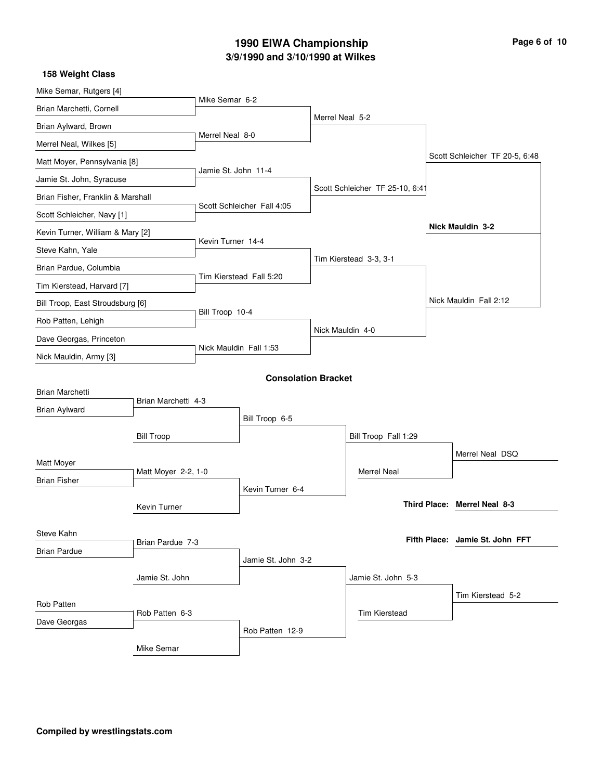#### **3/9/1990 and 3/10/1990 at Wilkes 1990 EIWA Championship Page 6 of 10**

Mike Semar, Rutgers [4] Brian Marchetti, Cornell Brian Aylward, Brown Merrel Neal, Wilkes [5] Matt Moyer, Pennsylvania [8] Jamie St. John, Syracuse Brian Fisher, Franklin & Marshall Scott Schleicher, Navy [1] Kevin Turner, William & Mary [2] Steve Kahn, Yale Brian Pardue, Columbia Tim Kierstead, Harvard [7] Bill Troop, East Stroudsburg [6] Rob Patten, Lehigh Dave Georgas, Princeton Nick Mauldin, Army [3] Mike Semar 6-2 Merrel Neal 8-0 Jamie St. John 11-4 Scott Schleicher Fall 4:05 Kevin Turner 14-4 Tim Kierstead Fall 5:20 Bill Troop 10-4 Nick Mauldin Fall 1:53 Merrel Neal 5-2 Scott Schleicher TF 25-10, 6:4 Tim Kierstead 3-3, 3-1 Nick Mauldin 4-0 Scott Schleicher TF 20-5, 6:48 Nick Mauldin Fall 2:12 **Nick Mauldin 3-2 158 Weight Class Consolation Bracket** Brian Marchetti Brian Aylward Matt Moyer Brian Fisher Bill Troop Steve Kahn Brian Pardue Kevin Turner Jamie St. John Rob Patten Dave Georgas Mike Semar Brian Marchetti 4-3 Matt Moyer 2-2, 1-0 Brian Pardue 7-3 Rob Patten 6-3 Bill Troop 6-5 Kevin Turner 6-4 Jamie St. John 3-2 Rob Patten 12-9 Bill Troop Fall 1:29 Jamie St. John 5-3 Merrel Neal Tim Kierstead Merrel Neal DSQ Tim Kierstead 5-2 **Merrel Neal 8-3 Third Place: Jamie St. John FFT Fifth Place:**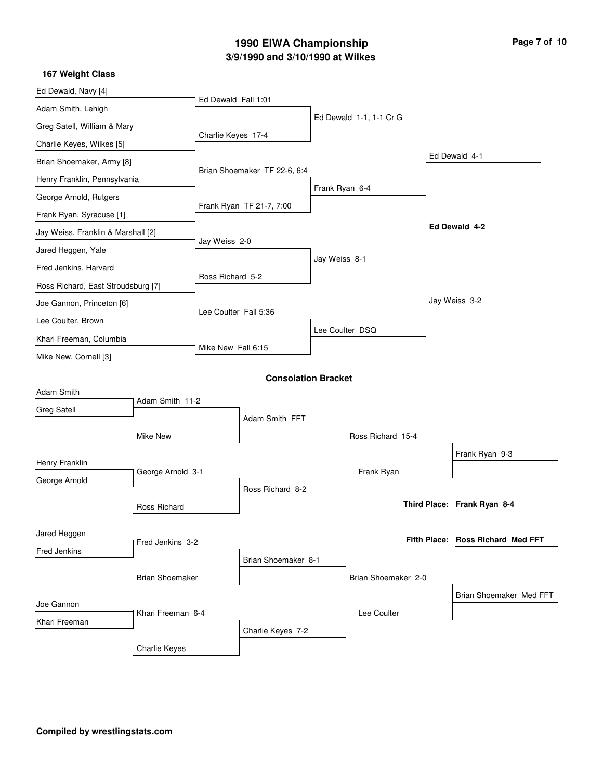#### **3/9/1990 and 3/10/1990 at Wilkes 1990 EIWA Championship Page 7 of 10**

#### Ed Dewald, Navy [4] Adam Smith, Lehigh Greg Satell, William & Mary Charlie Keyes, Wilkes [5] Brian Shoemaker, Army [8] Henry Franklin, Pennsylvania George Arnold, Rutgers Frank Ryan, Syracuse [1] Jay Weiss, Franklin & Marshall [2] Jared Heggen, Yale Fred Jenkins, Harvard Ross Richard, East Stroudsburg [7] Joe Gannon, Princeton [6] Lee Coulter, Brown Khari Freeman, Columbia Mike New, Cornell [3] Ed Dewald Fall 1:01 Charlie Keyes 17-4 Brian Shoemaker TF 22-6, 6:4 Frank Ryan TF 21-7, 7:00 Jay Weiss 2-0 Ross Richard 5-2 Lee Coulter Fall 5:36 Mike New Fall 6:15 Ed Dewald 1-1, 1-1 Cr G Frank Ryan 6-4 Jay Weiss 8-1 Lee Coulter DSQ Ed Dewald 4-1 Jay Weiss 3-2 **Ed Dewald 4-2 167 Weight Class Consolation Bracket** Adam Smith Greg Satell Henry Franklin George Arnold Mike New Jared Heggen Fred Jenkins Ross Richard Brian Shoemaker Joe Gannon Khari Freeman Charlie Keyes Adam Smith 11-2 George Arnold 3-1 Fred Jenkins 3-2 Khari Freeman 6-4 Adam Smith FFT Ross Richard 8-2 Brian Shoemaker 8-1 Charlie Keyes 7-2 Ross Richard 15-4 Brian Shoemaker 2-0 Frank Ryan Lee Coulter Frank Ryan 9-3 Brian Shoemaker Med FFT **Frank Ryan 8-4 Third Place: Ross Richard Med FFT Fifth Place:**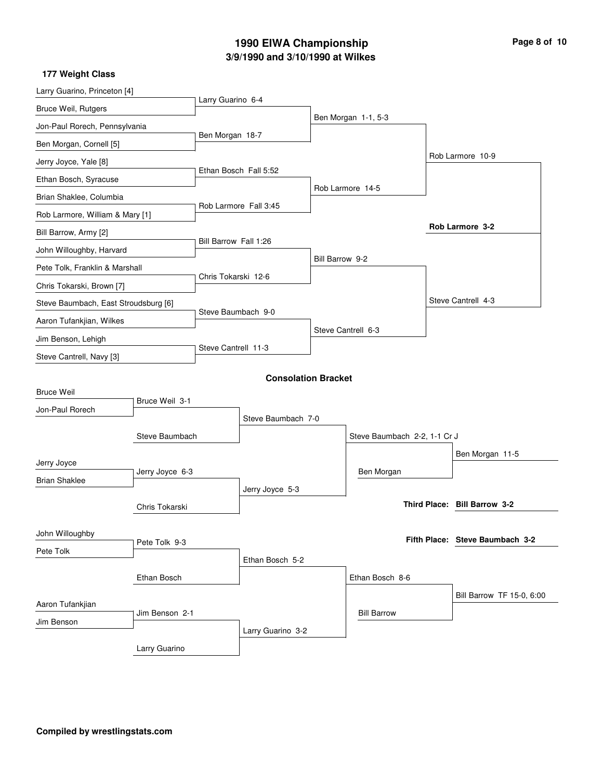# **3/9/1990 and 3/10/1990 at Wilkes 1990 EIWA Championship Page 8 of 10**

| Larry Guarino 6-4<br>Bruce Weil, Rutgers<br>Ben Morgan 1-1, 5-3<br>Jon-Paul Rorech, Pennsylvania<br>Ben Morgan 18-7<br>Ben Morgan, Cornell [5]<br>Rob Larmore 10-9<br>Jerry Joyce, Yale [8]<br>Ethan Bosch Fall 5:52<br>Ethan Bosch, Syracuse<br>Rob Larmore 14-5<br>Brian Shaklee, Columbia<br>Rob Larmore Fall 3:45<br>Rob Larmore, William & Mary [1]<br>Rob Larmore 3-2<br>Bill Barrow, Army [2]<br>Bill Barrow Fall 1:26<br>John Willoughby, Harvard<br>Bill Barrow 9-2<br>Pete Tolk, Franklin & Marshall<br>Chris Tokarski 12-6<br>Chris Tokarski, Brown [7]<br>Steve Cantrell 4-3<br>Steve Baumbach, East Stroudsburg [6]<br>Steve Baumbach 9-0<br>Aaron Tufankjian, Wilkes<br>Steve Cantrell 6-3<br>Jim Benson, Lehigh<br>Steve Cantrell 11-3<br>Steve Cantrell, Navy [3]<br><b>Consolation Bracket</b><br><b>Bruce Weil</b><br>Bruce Weil 3-1<br>Jon-Paul Rorech<br>Steve Baumbach 7-0<br>Steve Baumbach<br>Steve Baumbach 2-2, 1-1 Cr J<br>Ben Morgan 11-5<br>Jerry Joyce<br>Jerry Joyce 6-3<br>Ben Morgan<br><b>Brian Shaklee</b><br>Jerry Joyce 5-3<br>Third Place: Bill Barrow 3-2<br>Chris Tokarski<br>John Willoughby<br>Fifth Place: Steve Baumbach 3-2<br>Pete Tolk 9-3<br>Pete Tolk<br>Ethan Bosch 5-2<br>Ethan Bosch<br>Ethan Bosch 8-6<br>Bill Barrow TF 15-0, 6:00<br>Aaron Tufankjian<br><b>Bill Barrow</b><br>Jim Benson 2-1<br>Jim Benson<br>Larry Guarino 3-2 | Larry Guarino, Princeton [4] |  |  |  |  |
|----------------------------------------------------------------------------------------------------------------------------------------------------------------------------------------------------------------------------------------------------------------------------------------------------------------------------------------------------------------------------------------------------------------------------------------------------------------------------------------------------------------------------------------------------------------------------------------------------------------------------------------------------------------------------------------------------------------------------------------------------------------------------------------------------------------------------------------------------------------------------------------------------------------------------------------------------------------------------------------------------------------------------------------------------------------------------------------------------------------------------------------------------------------------------------------------------------------------------------------------------------------------------------------------------------------------------------------------------------------------------------------|------------------------------|--|--|--|--|
|                                                                                                                                                                                                                                                                                                                                                                                                                                                                                                                                                                                                                                                                                                                                                                                                                                                                                                                                                                                                                                                                                                                                                                                                                                                                                                                                                                                        |                              |  |  |  |  |
|                                                                                                                                                                                                                                                                                                                                                                                                                                                                                                                                                                                                                                                                                                                                                                                                                                                                                                                                                                                                                                                                                                                                                                                                                                                                                                                                                                                        |                              |  |  |  |  |
|                                                                                                                                                                                                                                                                                                                                                                                                                                                                                                                                                                                                                                                                                                                                                                                                                                                                                                                                                                                                                                                                                                                                                                                                                                                                                                                                                                                        |                              |  |  |  |  |
|                                                                                                                                                                                                                                                                                                                                                                                                                                                                                                                                                                                                                                                                                                                                                                                                                                                                                                                                                                                                                                                                                                                                                                                                                                                                                                                                                                                        |                              |  |  |  |  |
|                                                                                                                                                                                                                                                                                                                                                                                                                                                                                                                                                                                                                                                                                                                                                                                                                                                                                                                                                                                                                                                                                                                                                                                                                                                                                                                                                                                        |                              |  |  |  |  |
|                                                                                                                                                                                                                                                                                                                                                                                                                                                                                                                                                                                                                                                                                                                                                                                                                                                                                                                                                                                                                                                                                                                                                                                                                                                                                                                                                                                        |                              |  |  |  |  |
|                                                                                                                                                                                                                                                                                                                                                                                                                                                                                                                                                                                                                                                                                                                                                                                                                                                                                                                                                                                                                                                                                                                                                                                                                                                                                                                                                                                        |                              |  |  |  |  |
|                                                                                                                                                                                                                                                                                                                                                                                                                                                                                                                                                                                                                                                                                                                                                                                                                                                                                                                                                                                                                                                                                                                                                                                                                                                                                                                                                                                        |                              |  |  |  |  |
|                                                                                                                                                                                                                                                                                                                                                                                                                                                                                                                                                                                                                                                                                                                                                                                                                                                                                                                                                                                                                                                                                                                                                                                                                                                                                                                                                                                        |                              |  |  |  |  |
|                                                                                                                                                                                                                                                                                                                                                                                                                                                                                                                                                                                                                                                                                                                                                                                                                                                                                                                                                                                                                                                                                                                                                                                                                                                                                                                                                                                        |                              |  |  |  |  |
|                                                                                                                                                                                                                                                                                                                                                                                                                                                                                                                                                                                                                                                                                                                                                                                                                                                                                                                                                                                                                                                                                                                                                                                                                                                                                                                                                                                        |                              |  |  |  |  |
|                                                                                                                                                                                                                                                                                                                                                                                                                                                                                                                                                                                                                                                                                                                                                                                                                                                                                                                                                                                                                                                                                                                                                                                                                                                                                                                                                                                        |                              |  |  |  |  |
|                                                                                                                                                                                                                                                                                                                                                                                                                                                                                                                                                                                                                                                                                                                                                                                                                                                                                                                                                                                                                                                                                                                                                                                                                                                                                                                                                                                        |                              |  |  |  |  |
|                                                                                                                                                                                                                                                                                                                                                                                                                                                                                                                                                                                                                                                                                                                                                                                                                                                                                                                                                                                                                                                                                                                                                                                                                                                                                                                                                                                        |                              |  |  |  |  |
|                                                                                                                                                                                                                                                                                                                                                                                                                                                                                                                                                                                                                                                                                                                                                                                                                                                                                                                                                                                                                                                                                                                                                                                                                                                                                                                                                                                        |                              |  |  |  |  |
|                                                                                                                                                                                                                                                                                                                                                                                                                                                                                                                                                                                                                                                                                                                                                                                                                                                                                                                                                                                                                                                                                                                                                                                                                                                                                                                                                                                        |                              |  |  |  |  |
|                                                                                                                                                                                                                                                                                                                                                                                                                                                                                                                                                                                                                                                                                                                                                                                                                                                                                                                                                                                                                                                                                                                                                                                                                                                                                                                                                                                        |                              |  |  |  |  |
|                                                                                                                                                                                                                                                                                                                                                                                                                                                                                                                                                                                                                                                                                                                                                                                                                                                                                                                                                                                                                                                                                                                                                                                                                                                                                                                                                                                        |                              |  |  |  |  |
|                                                                                                                                                                                                                                                                                                                                                                                                                                                                                                                                                                                                                                                                                                                                                                                                                                                                                                                                                                                                                                                                                                                                                                                                                                                                                                                                                                                        |                              |  |  |  |  |
|                                                                                                                                                                                                                                                                                                                                                                                                                                                                                                                                                                                                                                                                                                                                                                                                                                                                                                                                                                                                                                                                                                                                                                                                                                                                                                                                                                                        |                              |  |  |  |  |
|                                                                                                                                                                                                                                                                                                                                                                                                                                                                                                                                                                                                                                                                                                                                                                                                                                                                                                                                                                                                                                                                                                                                                                                                                                                                                                                                                                                        |                              |  |  |  |  |
|                                                                                                                                                                                                                                                                                                                                                                                                                                                                                                                                                                                                                                                                                                                                                                                                                                                                                                                                                                                                                                                                                                                                                                                                                                                                                                                                                                                        |                              |  |  |  |  |
|                                                                                                                                                                                                                                                                                                                                                                                                                                                                                                                                                                                                                                                                                                                                                                                                                                                                                                                                                                                                                                                                                                                                                                                                                                                                                                                                                                                        |                              |  |  |  |  |
|                                                                                                                                                                                                                                                                                                                                                                                                                                                                                                                                                                                                                                                                                                                                                                                                                                                                                                                                                                                                                                                                                                                                                                                                                                                                                                                                                                                        |                              |  |  |  |  |
|                                                                                                                                                                                                                                                                                                                                                                                                                                                                                                                                                                                                                                                                                                                                                                                                                                                                                                                                                                                                                                                                                                                                                                                                                                                                                                                                                                                        |                              |  |  |  |  |
|                                                                                                                                                                                                                                                                                                                                                                                                                                                                                                                                                                                                                                                                                                                                                                                                                                                                                                                                                                                                                                                                                                                                                                                                                                                                                                                                                                                        |                              |  |  |  |  |
|                                                                                                                                                                                                                                                                                                                                                                                                                                                                                                                                                                                                                                                                                                                                                                                                                                                                                                                                                                                                                                                                                                                                                                                                                                                                                                                                                                                        |                              |  |  |  |  |
|                                                                                                                                                                                                                                                                                                                                                                                                                                                                                                                                                                                                                                                                                                                                                                                                                                                                                                                                                                                                                                                                                                                                                                                                                                                                                                                                                                                        |                              |  |  |  |  |
|                                                                                                                                                                                                                                                                                                                                                                                                                                                                                                                                                                                                                                                                                                                                                                                                                                                                                                                                                                                                                                                                                                                                                                                                                                                                                                                                                                                        |                              |  |  |  |  |
|                                                                                                                                                                                                                                                                                                                                                                                                                                                                                                                                                                                                                                                                                                                                                                                                                                                                                                                                                                                                                                                                                                                                                                                                                                                                                                                                                                                        |                              |  |  |  |  |
| Larry Guarino                                                                                                                                                                                                                                                                                                                                                                                                                                                                                                                                                                                                                                                                                                                                                                                                                                                                                                                                                                                                                                                                                                                                                                                                                                                                                                                                                                          |                              |  |  |  |  |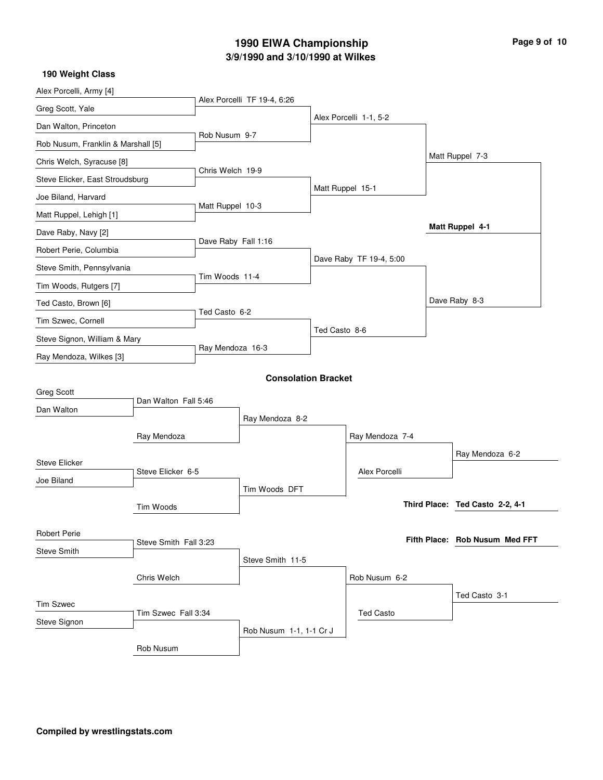# **3/9/1990 and 3/10/1990 at Wilkes 1990 EIWA Championship**

|  | Page 9 of 10 |  |  |  |
|--|--------------|--|--|--|
|--|--------------|--|--|--|

| 190 Weight Class                   |                       |                     |                             |               |                         |                                 |
|------------------------------------|-----------------------|---------------------|-----------------------------|---------------|-------------------------|---------------------------------|
| Alex Porcelli, Army [4]            |                       |                     |                             |               |                         |                                 |
| Greg Scott, Yale                   |                       |                     | Alex Porcelli TF 19-4, 6:26 |               |                         |                                 |
| Dan Walton, Princeton              |                       |                     |                             |               | Alex Porcelli 1-1, 5-2  |                                 |
| Rob Nusum, Franklin & Marshall [5] |                       | Rob Nusum 9-7       |                             |               |                         |                                 |
| Chris Welch, Syracuse [8]          |                       |                     |                             |               |                         | Matt Ruppel 7-3                 |
| Steve Elicker, East Stroudsburg    |                       | Chris Welch 19-9    |                             |               |                         |                                 |
| Joe Biland, Harvard                |                       |                     |                             |               | Matt Ruppel 15-1        |                                 |
| Matt Ruppel, Lehigh [1]            |                       | Matt Ruppel 10-3    |                             |               |                         |                                 |
| Dave Raby, Navy [2]                |                       |                     |                             |               |                         | <b>Matt Ruppel 4-1</b>          |
| Robert Perie, Columbia             |                       | Dave Raby Fall 1:16 |                             |               |                         |                                 |
| Steve Smith, Pennsylvania          |                       |                     |                             |               | Dave Raby TF 19-4, 5:00 |                                 |
| Tim Woods, Rutgers [7]             |                       | Tim Woods 11-4      |                             |               |                         |                                 |
| Ted Casto, Brown [6]               |                       |                     |                             |               |                         | Dave Raby 8-3                   |
| Tim Szwec, Cornell                 |                       | Ted Casto 6-2       |                             |               |                         |                                 |
| Steve Signon, William & Mary       |                       |                     |                             | Ted Casto 8-6 |                         |                                 |
| Ray Mendoza, Wilkes [3]            |                       | Ray Mendoza 16-3    |                             |               |                         |                                 |
|                                    |                       |                     | <b>Consolation Bracket</b>  |               |                         |                                 |
| <b>Greg Scott</b>                  |                       |                     |                             |               |                         |                                 |
| Dan Walton                         | Dan Walton Fall 5:46  |                     |                             |               |                         |                                 |
|                                    |                       |                     | Ray Mendoza 8-2             |               |                         |                                 |
|                                    | Ray Mendoza           |                     |                             |               | Ray Mendoza 7-4         |                                 |
| <b>Steve Elicker</b>               |                       |                     |                             |               |                         | Ray Mendoza 6-2                 |
| Joe Biland                         | Steve Elicker 6-5     |                     |                             |               | Alex Porcelli           |                                 |
|                                    |                       |                     | Tim Woods DFT               |               |                         |                                 |
|                                    | Tim Woods             |                     |                             |               |                         | Third Place: Ted Casto 2-2, 4-1 |
| <b>Robert Perie</b>                |                       |                     |                             |               |                         |                                 |
| <b>Steve Smith</b>                 | Steve Smith Fall 3:23 |                     |                             |               |                         | Fifth Place: Rob Nusum Med FFT  |
|                                    |                       |                     | Steve Smith 11-5            |               |                         |                                 |
|                                    | Chris Welch           |                     |                             |               | Rob Nusum 6-2           |                                 |
| <b>Tim Szwec</b>                   |                       |                     |                             |               |                         | Ted Casto 3-1                   |
| Steve Signon                       | Tim Szwec Fall 3:34   |                     |                             |               | <b>Ted Casto</b>        |                                 |
|                                    |                       |                     | Rob Nusum 1-1, 1-1 Cr J     |               |                         |                                 |
|                                    | Rob Nusum             |                     |                             |               |                         |                                 |